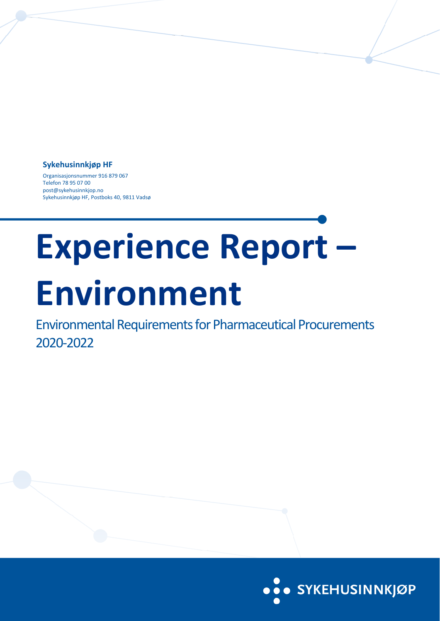### **Sykehusinnkjøp HF**

Organisasjonsnummer 916 879 067 Telefon 78 95 07 00 post@sykehusinnkjop.no Sykehusinnkjøp HF, Postboks 40, 9811 Vadsø

# **Experience Report – Environment**

Environmental Requirements for Pharmaceutical Procurements 2020-2022

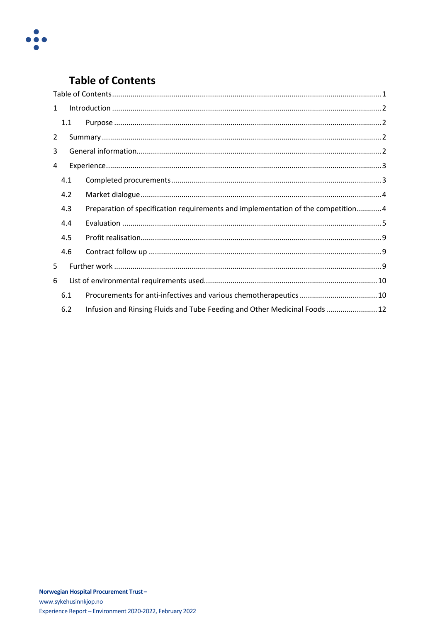

# <span id="page-1-0"></span>**Table of Contents**

| $\mathbf{1}$   |     |                                                                                   |  |  |  |  |
|----------------|-----|-----------------------------------------------------------------------------------|--|--|--|--|
|                | 1.1 |                                                                                   |  |  |  |  |
| $\overline{2}$ |     |                                                                                   |  |  |  |  |
| 3              |     |                                                                                   |  |  |  |  |
| 4              |     |                                                                                   |  |  |  |  |
|                | 4.1 |                                                                                   |  |  |  |  |
|                | 4.2 |                                                                                   |  |  |  |  |
|                | 4.3 | Preparation of specification requirements and implementation of the competition 4 |  |  |  |  |
|                | 4.4 |                                                                                   |  |  |  |  |
|                | 4.5 |                                                                                   |  |  |  |  |
|                | 4.6 |                                                                                   |  |  |  |  |
| 5              |     |                                                                                   |  |  |  |  |
| 6              |     |                                                                                   |  |  |  |  |
|                | 6.1 |                                                                                   |  |  |  |  |
|                | 6.2 | Infusion and Rinsing Fluids and Tube Feeding and Other Medicinal Foods 12         |  |  |  |  |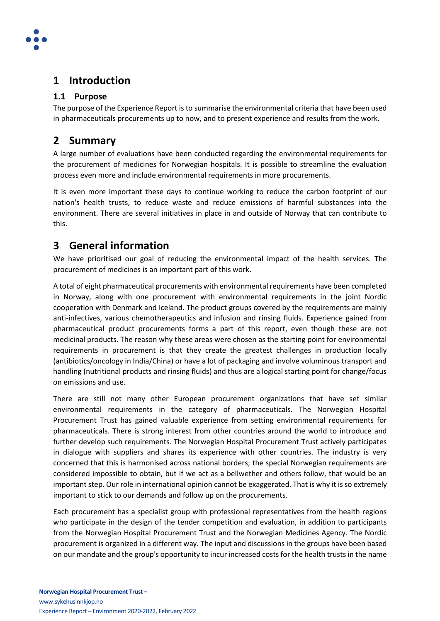

# <span id="page-2-0"></span>**1 Introduction**

## <span id="page-2-1"></span>**1.1 Purpose**

The purpose of the Experience Report is to summarise the environmental criteria that have been used in pharmaceuticals procurements up to now, and to present experience and results from the work.

# <span id="page-2-2"></span>**2 Summary**

A large number of evaluations have been conducted regarding the environmental requirements for the procurement of medicines for Norwegian hospitals. It is possible to streamline the evaluation process even more and include environmental requirements in more procurements.

It is even more important these days to continue working to reduce the carbon footprint of our nation's health trusts, to reduce waste and reduce emissions of harmful substances into the environment. There are several initiatives in place in and outside of Norway that can contribute to this.

# <span id="page-2-3"></span>**3 General information**

We have prioritised our goal of reducing the environmental impact of the health services. The procurement of medicines is an important part of this work.

A total of eight pharmaceutical procurements with environmentalrequirements have been completed in Norway, along with one procurement with environmental requirements in the joint Nordic cooperation with Denmark and Iceland. The product groups covered by the requirements are mainly anti-infectives, various chemotherapeutics and infusion and rinsing fluids. Experience gained from pharmaceutical product procurements forms a part of this report, even though these are not medicinal products. The reason why these areas were chosen as the starting point for environmental requirements in procurement is that they create the greatest challenges in production locally (antibiotics/oncology in India/China) or have a lot of packaging and involve voluminous transport and handling (nutritional products and rinsing fluids) and thus are a logical starting point for change/focus on emissions and use.

There are still not many other European procurement organizations that have set similar environmental requirements in the category of pharmaceuticals. The Norwegian Hospital Procurement Trust has gained valuable experience from setting environmental requirements for pharmaceuticals. There is strong interest from other countries around the world to introduce and further develop such requirements. The Norwegian Hospital Procurement Trust actively participates in dialogue with suppliers and shares its experience with other countries. The industry is very concerned that this is harmonised across national borders; the special Norwegian requirements are considered impossible to obtain, but if we act as a bellwether and others follow, that would be an important step. Our role in international opinion cannot be exaggerated. That is why it is so extremely important to stick to our demands and follow up on the procurements.

Each procurement has a specialist group with professional representatives from the health regions who participate in the design of the tender competition and evaluation, in addition to participants from the Norwegian Hospital Procurement Trust and the Norwegian Medicines Agency. The Nordic procurement is organized in a different way. The input and discussions in the groups have been based on our mandate and the group's opportunity to incur increased costs for the health trusts in the name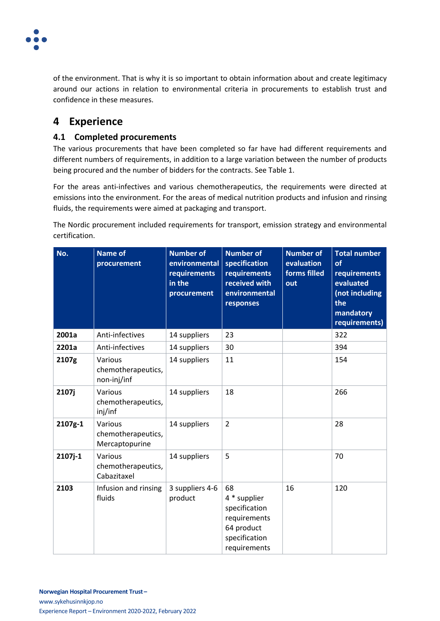

of the environment. That is why it is so important to obtain information about and create legitimacy around our actions in relation to environmental criteria in procurements to establish trust and confidence in these measures.

# <span id="page-3-0"></span>**4 Experience**

## <span id="page-3-1"></span>**4.1 Completed procurements**

The various procurements that have been completed so far have had different requirements and different numbers of requirements, in addition to a large variation between the number of products being procured and the number of bidders for the contracts. See Table 1.

For the areas anti-infectives and various chemotherapeutics, the requirements were directed at emissions into the environment. For the areas of medical nutrition products and infusion and rinsing fluids, the requirements were aimed at packaging and transport.

The Nordic procurement included requirements for transport, emission strategy and environmental certification.

| No.     | <b>Name of</b><br>procurement                   | <b>Number of</b><br>environmental<br>requirements<br>in the<br>procurement | <b>Number of</b><br>specification<br>requirements<br>received with<br>environmental<br>responses   | <b>Number of</b><br>evaluation<br>forms filled<br>out | <b>Total number</b><br>of<br>requirements<br>evaluated<br>(not including<br>the<br>mandatory<br>requirements) |
|---------|-------------------------------------------------|----------------------------------------------------------------------------|----------------------------------------------------------------------------------------------------|-------------------------------------------------------|---------------------------------------------------------------------------------------------------------------|
| 2001a   | Anti-infectives                                 | 14 suppliers                                                               | 23                                                                                                 |                                                       | 322                                                                                                           |
| 2201a   | Anti-infectives                                 | 14 suppliers                                                               | 30                                                                                                 |                                                       | 394                                                                                                           |
| 2107g   | Various<br>chemotherapeutics,<br>non-inj/inf    | 14 suppliers                                                               | 11                                                                                                 |                                                       | 154                                                                                                           |
| 2107j   | Various<br>chemotherapeutics,<br>inj/inf        | 14 suppliers                                                               | 18                                                                                                 |                                                       | 266                                                                                                           |
| 2107g-1 | Various<br>chemotherapeutics,<br>Mercaptopurine | 14 suppliers                                                               | $\overline{2}$                                                                                     |                                                       | 28                                                                                                            |
| 2107j-1 | Various<br>chemotherapeutics,<br>Cabazitaxel    | 14 suppliers                                                               | 5                                                                                                  |                                                       | 70                                                                                                            |
| 2103    | Infusion and rinsing<br>fluids                  | 3 suppliers 4-6<br>product                                                 | 68<br>4 * supplier<br>specification<br>requirements<br>64 product<br>specification<br>requirements | 16                                                    | 120                                                                                                           |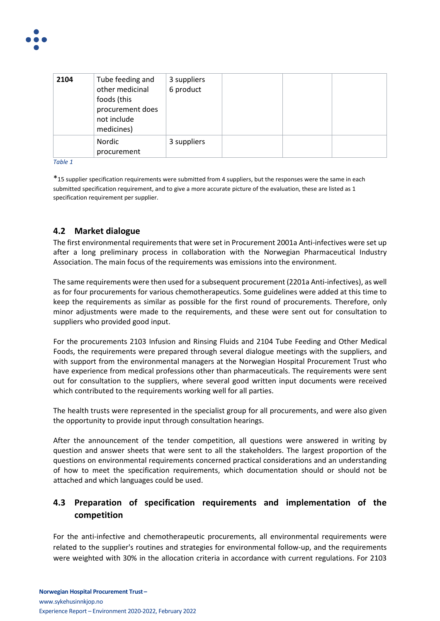

| 2104 | Tube feeding and<br>other medicinal<br>foods (this<br>procurement does<br>not include<br>medicines) | 3 suppliers<br>6 product |  |  |
|------|-----------------------------------------------------------------------------------------------------|--------------------------|--|--|
|      | Nordic<br>procurement                                                                               | 3 suppliers              |  |  |

*Table 1*

\*15 supplier specification requirements were submitted from 4 suppliers, but the responses were the same in each submitted specification requirement, and to give a more accurate picture of the evaluation, these are listed as 1 specification requirement per supplier.

## <span id="page-4-0"></span>**4.2 Market dialogue**

The first environmental requirements that were set in Procurement 2001a Anti-infectives were set up after a long preliminary process in collaboration with the Norwegian Pharmaceutical Industry Association. The main focus of the requirements was emissions into the environment.

The same requirements were then used for a subsequent procurement (2201a Anti-infectives), as well as for four procurements for various chemotherapeutics. Some guidelines were added at this time to keep the requirements as similar as possible for the first round of procurements. Therefore, only minor adjustments were made to the requirements, and these were sent out for consultation to suppliers who provided good input.

For the procurements 2103 Infusion and Rinsing Fluids and 2104 Tube Feeding and Other Medical Foods, the requirements were prepared through several dialogue meetings with the suppliers, and with support from the environmental managers at the Norwegian Hospital Procurement Trust who have experience from medical professions other than pharmaceuticals. The requirements were sent out for consultation to the suppliers, where several good written input documents were received which contributed to the requirements working well for all parties.

The health trusts were represented in the specialist group for all procurements, and were also given the opportunity to provide input through consultation hearings.

After the announcement of the tender competition, all questions were answered in writing by question and answer sheets that were sent to all the stakeholders. The largest proportion of the questions on environmental requirements concerned practical considerations and an understanding of how to meet the specification requirements, which documentation should or should not be attached and which languages could be used.

# <span id="page-4-1"></span>**4.3 Preparation of specification requirements and implementation of the competition**

For the anti-infective and chemotherapeutic procurements, all environmental requirements were related to the supplier's routines and strategies for environmental follow-up, and the requirements were weighted with 30% in the allocation criteria in accordance with current regulations. For 2103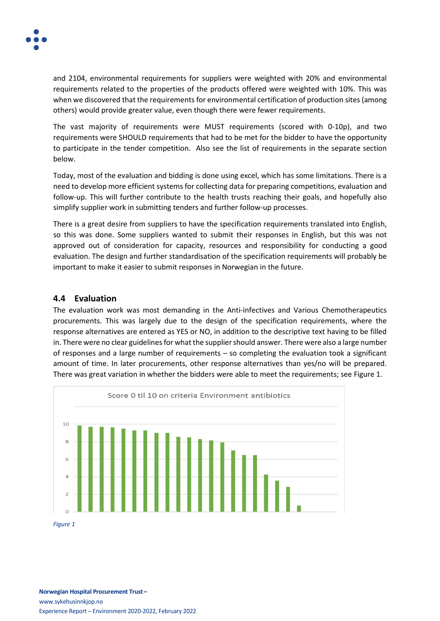

and 2104, environmental requirements for suppliers were weighted with 20% and environmental requirements related to the properties of the products offered were weighted with 10%. This was when we discovered that the requirements for environmental certification of production sites(among others) would provide greater value, even though there were fewer requirements.

The vast majority of requirements were MUST requirements (scored with 0-10p), and two requirements were SHOULD requirements that had to be met for the bidder to have the opportunity to participate in the tender competition. Also see the list of requirements in the separate section below.

Today, most of the evaluation and bidding is done using excel, which has some limitations. There is a need to develop more efficient systems for collecting data for preparing competitions, evaluation and follow-up. This will further contribute to the health trusts reaching their goals, and hopefully also simplify supplier work in submitting tenders and further follow-up processes.

There is a great desire from suppliers to have the specification requirements translated into English, so this was done. Some suppliers wanted to submit their responses in English, but this was not approved out of consideration for capacity, resources and responsibility for conducting a good evaluation. The design and further standardisation of the specification requirements will probably be important to make it easier to submit responses in Norwegian in the future.

#### <span id="page-5-0"></span>**4.4 Evaluation**

The evaluation work was most demanding in the Anti-infectives and Various Chemotherapeutics procurements. This was largely due to the design of the specification requirements, where the response alternatives are entered as YES or NO, in addition to the descriptive text having to be filled in. There were no clear guidelines for what the supplier should answer. There were also a large number of responses and a large number of requirements – so completing the evaluation took a significant amount of time. In later procurements, other response alternatives than yes/no will be prepared. There was great variation in whether the bidders were able to meet the requirements; see Figure 1.



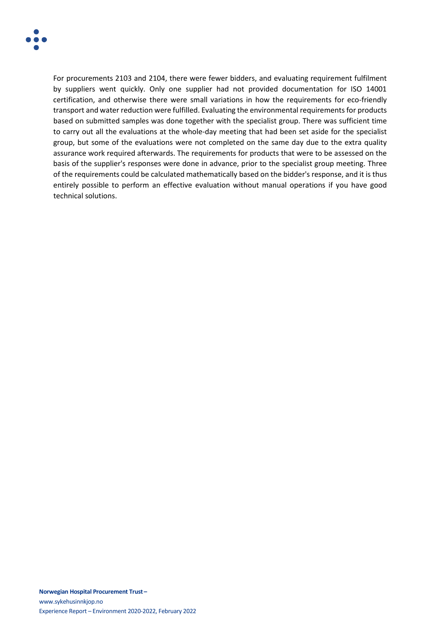

For procurements 2103 and 2104, there were fewer bidders, and evaluating requirement fulfilment by suppliers went quickly. Only one supplier had not provided documentation for ISO 14001 certification, and otherwise there were small variations in how the requirements for eco-friendly transport and water reduction were fulfilled. Evaluating the environmental requirements for products based on submitted samples was done together with the specialist group. There was sufficient time to carry out all the evaluations at the whole-day meeting that had been set aside for the specialist group, but some of the evaluations were not completed on the same day due to the extra quality assurance work required afterwards. The requirements for products that were to be assessed on the basis of the supplier's responses were done in advance, prior to the specialist group meeting. Three of the requirements could be calculated mathematically based on the bidder's response, and it is thus entirely possible to perform an effective evaluation without manual operations if you have good technical solutions.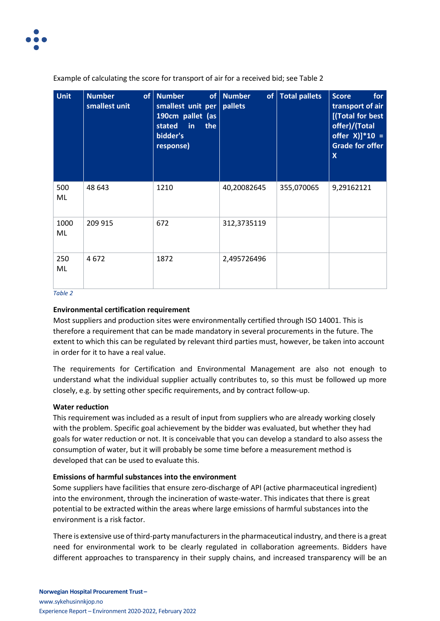

| <b>Unit</b> | <b>Number</b><br>smallest unit | of Number<br>smallest unit per   pallets<br>190cm pallet (as<br>stated<br>the<br>$\mathsf{in}$<br>bidder's<br>response) | of Number   | of   Total pallets | for<br><b>Score</b><br>transport of air<br>[(Total for best<br>offer)/(Total<br>offer $X$ ]*10 =<br><b>Grade for offer</b><br>$\boldsymbol{\mathsf{X}}$ |
|-------------|--------------------------------|-------------------------------------------------------------------------------------------------------------------------|-------------|--------------------|---------------------------------------------------------------------------------------------------------------------------------------------------------|
| 500<br>ML   | 48 643                         | 1210                                                                                                                    | 40,20082645 | 355,070065         | 9,29162121                                                                                                                                              |
| 1000<br>ML  | 209 915                        | 672                                                                                                                     | 312,3735119 |                    |                                                                                                                                                         |
| 250<br>ML   | 4672                           | 1872                                                                                                                    | 2,495726496 |                    |                                                                                                                                                         |

Example of calculating the score for transport of air for a received bid; see Table 2

*Table 2*

#### **Environmental certification requirement**

Most suppliers and production sites were environmentally certified through ISO 14001. This is therefore a requirement that can be made mandatory in several procurements in the future. The extent to which this can be regulated by relevant third parties must, however, be taken into account in order for it to have a real value.

The requirements for Certification and Environmental Management are also not enough to understand what the individual supplier actually contributes to, so this must be followed up more closely, e.g. by setting other specific requirements, and by contract follow-up.

#### **Water reduction**

This requirement was included as a result of input from suppliers who are already working closely with the problem. Specific goal achievement by the bidder was evaluated, but whether they had goals for water reduction or not. It is conceivable that you can develop a standard to also assess the consumption of water, but it will probably be some time before a measurement method is developed that can be used to evaluate this.

#### **Emissions of harmful substances into the environment**

Some suppliers have facilities that ensure zero-discharge of API (active pharmaceutical ingredient) into the environment, through the incineration of waste-water. This indicates that there is great potential to be extracted within the areas where large emissions of harmful substances into the environment is a risk factor.

There is extensive use of third-party manufacturersin the pharmaceutical industry, and there is a great need for environmental work to be clearly regulated in collaboration agreements. Bidders have different approaches to transparency in their supply chains, and increased transparency will be an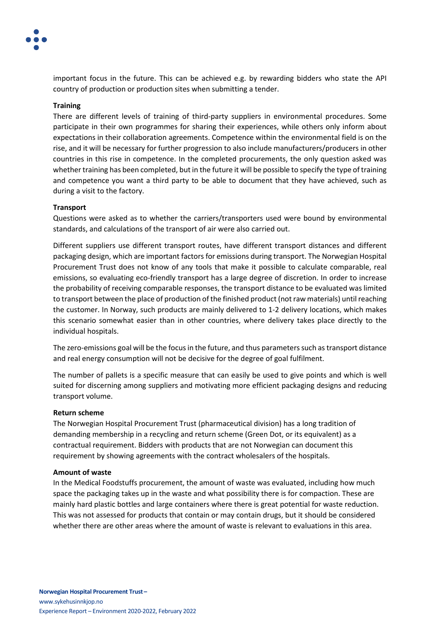

important focus in the future. This can be achieved e.g. by rewarding bidders who state the API country of production or production sites when submitting a tender.

#### **Training**

There are different levels of training of third-party suppliers in environmental procedures. Some participate in their own programmes for sharing their experiences, while others only inform about expectations in their collaboration agreements. Competence within the environmental field is on the rise, and it will be necessary for further progression to also include manufacturers/producers in other countries in this rise in competence. In the completed procurements, the only question asked was whether training has been completed, but in the future it will be possible to specify the type of training and competence you want a third party to be able to document that they have achieved, such as during a visit to the factory.

#### **Transport**

Questions were asked as to whether the carriers/transporters used were bound by environmental standards, and calculations of the transport of air were also carried out.

Different suppliers use different transport routes, have different transport distances and different packaging design, which are important factors for emissions during transport. The Norwegian Hospital Procurement Trust does not know of any tools that make it possible to calculate comparable, real emissions, so evaluating eco-friendly transport has a large degree of discretion. In order to increase the probability of receiving comparable responses, the transport distance to be evaluated was limited to transport between the place of production of the finished product (not raw materials) untilreaching the customer. In Norway, such products are mainly delivered to 1-2 delivery locations, which makes this scenario somewhat easier than in other countries, where delivery takes place directly to the individual hospitals.

The zero-emissions goal will be the focus in the future, and thus parameters such as transport distance and real energy consumption will not be decisive for the degree of goal fulfilment.

The number of pallets is a specific measure that can easily be used to give points and which is well suited for discerning among suppliers and motivating more efficient packaging designs and reducing transport volume.

#### **Return scheme**

The Norwegian Hospital Procurement Trust (pharmaceutical division) has a long tradition of demanding membership in a recycling and return scheme (Green Dot, or its equivalent) as a contractual requirement. Bidders with products that are not Norwegian can document this requirement by showing agreements with the contract wholesalers of the hospitals.

#### **Amount of waste**

In the Medical Foodstuffs procurement, the amount of waste was evaluated, including how much space the packaging takes up in the waste and what possibility there is for compaction. These are mainly hard plastic bottles and large containers where there is great potential for waste reduction. This was not assessed for products that contain or may contain drugs, but it should be considered whether there are other areas where the amount of waste is relevant to evaluations in this area.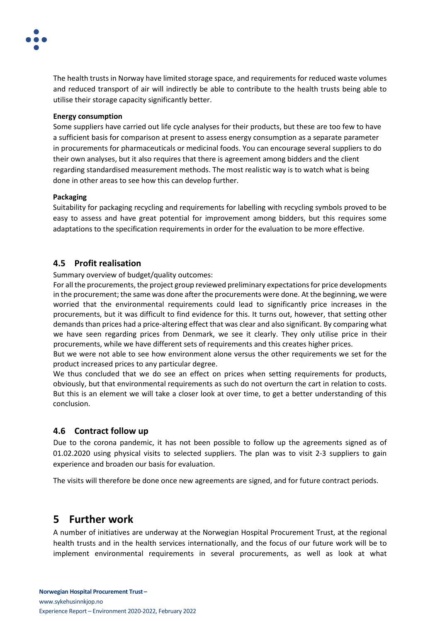

The health trusts in Norway have limited storage space, and requirements for reduced waste volumes and reduced transport of air will indirectly be able to contribute to the health trusts being able to utilise their storage capacity significantly better.

#### **Energy consumption**

Some suppliers have carried out life cycle analyses for their products, but these are too few to have a sufficient basis for comparison at present to assess energy consumption as a separate parameter in procurements for pharmaceuticals or medicinal foods. You can encourage several suppliers to do their own analyses, but it also requires that there is agreement among bidders and the client regarding standardised measurement methods. The most realistic way is to watch what is being done in other areas to see how this can develop further.

#### **Packaging**

Suitability for packaging recycling and requirements for labelling with recycling symbols proved to be easy to assess and have great potential for improvement among bidders, but this requires some adaptations to the specification requirements in order for the evaluation to be more effective.

## <span id="page-9-0"></span>**4.5 Profit realisation**

Summary overview of budget/quality outcomes:

For all the procurements, the project group reviewed preliminary expectationsfor price developments in the procurement; the same was done after the procurements were done. At the beginning, we were worried that the environmental requirements could lead to significantly price increases in the procurements, but it was difficult to find evidence for this. It turns out, however, that setting other demands than prices had a price-altering effect that was clear and also significant. By comparing what we have seen regarding prices from Denmark, we see it clearly. They only utilise price in their procurements, while we have different sets of requirements and this creates higher prices.

But we were not able to see how environment alone versus the other requirements we set for the product increased prices to any particular degree.

We thus concluded that we do see an effect on prices when setting requirements for products, obviously, but that environmental requirements as such do not overturn the cart in relation to costs. But this is an element we will take a closer look at over time, to get a better understanding of this conclusion.

## <span id="page-9-1"></span>**4.6 Contract follow up**

Due to the corona pandemic, it has not been possible to follow up the agreements signed as of 01.02.2020 using physical visits to selected suppliers. The plan was to visit 2-3 suppliers to gain experience and broaden our basis for evaluation.

The visits will therefore be done once new agreements are signed, and for future contract periods.

# <span id="page-9-2"></span>**5 Further work**

A number of initiatives are underway at the Norwegian Hospital Procurement Trust, at the regional health trusts and in the health services internationally, and the focus of our future work will be to implement environmental requirements in several procurements, as well as look at what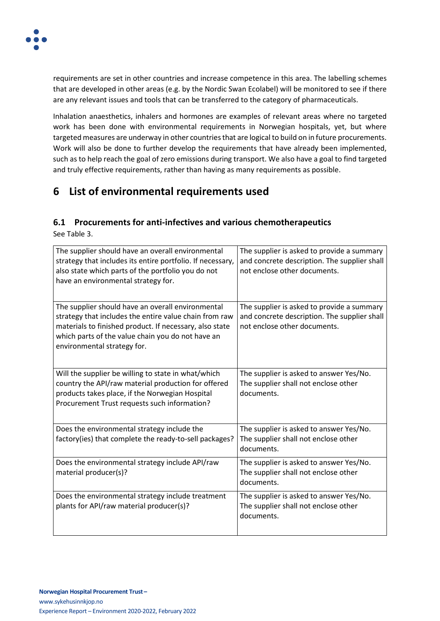

requirements are set in other countries and increase competence in this area. The labelling schemes that are developed in other areas (e.g. by the Nordic Swan Ecolabel) will be monitored to see if there are any relevant issues and tools that can be transferred to the category of pharmaceuticals.

Inhalation anaesthetics, inhalers and hormones are examples of relevant areas where no targeted work has been done with environmental requirements in Norwegian hospitals, yet, but where targeted measures are underway in other countries that are logical to build on in future procurements. Work will also be done to further develop the requirements that have already been implemented, such as to help reach the goal of zero emissions during transport. We also have a goal to find targeted and truly effective requirements, rather than having as many requirements as possible.

# <span id="page-10-0"></span>**6 List of environmental requirements used**

# <span id="page-10-1"></span>**6.1 Procurements for anti-infectives and various chemotherapeutics**

See Table 3.

| The supplier should have an overall environmental<br>strategy that includes its entire portfolio. If necessary,<br>also state which parts of the portfolio you do not<br>have an environmental strategy for.                                               | The supplier is asked to provide a summary<br>and concrete description. The supplier shall<br>not enclose other documents. |
|------------------------------------------------------------------------------------------------------------------------------------------------------------------------------------------------------------------------------------------------------------|----------------------------------------------------------------------------------------------------------------------------|
|                                                                                                                                                                                                                                                            |                                                                                                                            |
| The supplier should have an overall environmental<br>strategy that includes the entire value chain from raw<br>materials to finished product. If necessary, also state<br>which parts of the value chain you do not have an<br>environmental strategy for. | The supplier is asked to provide a summary<br>and concrete description. The supplier shall<br>not enclose other documents. |
| Will the supplier be willing to state in what/which<br>country the API/raw material production for offered                                                                                                                                                 | The supplier is asked to answer Yes/No.<br>The supplier shall not enclose other                                            |
| products takes place, if the Norwegian Hospital<br>Procurement Trust requests such information?                                                                                                                                                            | documents.                                                                                                                 |
| Does the environmental strategy include the<br>factory(ies) that complete the ready-to-sell packages?                                                                                                                                                      | The supplier is asked to answer Yes/No.<br>The supplier shall not enclose other<br>documents.                              |
| Does the environmental strategy include API/raw<br>material producer(s)?                                                                                                                                                                                   | The supplier is asked to answer Yes/No.<br>The supplier shall not enclose other<br>documents.                              |
| Does the environmental strategy include treatment<br>plants for API/raw material producer(s)?                                                                                                                                                              | The supplier is asked to answer Yes/No.<br>The supplier shall not enclose other<br>documents.                              |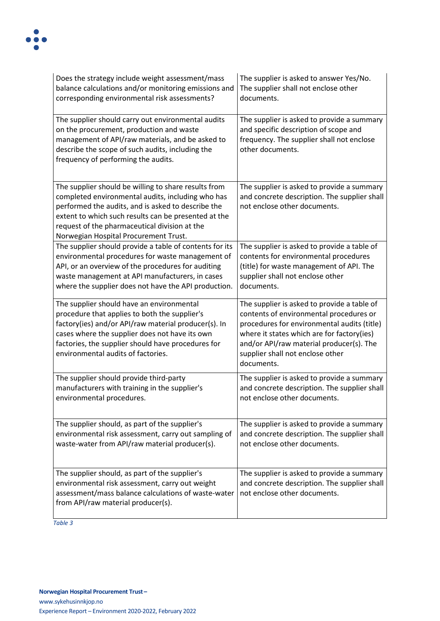| Does the strategy include weight assessment/mass                                                                                                                                                                                                                                                                  | The supplier is asked to answer Yes/No.                                                                                                                                                                                                                                           |
|-------------------------------------------------------------------------------------------------------------------------------------------------------------------------------------------------------------------------------------------------------------------------------------------------------------------|-----------------------------------------------------------------------------------------------------------------------------------------------------------------------------------------------------------------------------------------------------------------------------------|
| balance calculations and/or monitoring emissions and                                                                                                                                                                                                                                                              | The supplier shall not enclose other                                                                                                                                                                                                                                              |
| corresponding environmental risk assessments?                                                                                                                                                                                                                                                                     | documents.                                                                                                                                                                                                                                                                        |
| The supplier should carry out environmental audits<br>on the procurement, production and waste<br>management of API/raw materials, and be asked to<br>describe the scope of such audits, including the<br>frequency of performing the audits.                                                                     | The supplier is asked to provide a summary<br>and specific description of scope and<br>frequency. The supplier shall not enclose<br>other documents.                                                                                                                              |
| The supplier should be willing to share results from<br>completed environmental audits, including who has<br>performed the audits, and is asked to describe the<br>extent to which such results can be presented at the<br>request of the pharmaceutical division at the<br>Norwegian Hospital Procurement Trust. | The supplier is asked to provide a summary<br>and concrete description. The supplier shall<br>not enclose other documents.                                                                                                                                                        |
| The supplier should provide a table of contents for its                                                                                                                                                                                                                                                           | The supplier is asked to provide a table of                                                                                                                                                                                                                                       |
| environmental procedures for waste management of                                                                                                                                                                                                                                                                  | contents for environmental procedures                                                                                                                                                                                                                                             |
| API, or an overview of the procedures for auditing                                                                                                                                                                                                                                                                | (title) for waste management of API. The                                                                                                                                                                                                                                          |
| waste management at API manufacturers, in cases                                                                                                                                                                                                                                                                   | supplier shall not enclose other                                                                                                                                                                                                                                                  |
| where the supplier does not have the API production.                                                                                                                                                                                                                                                              | documents.                                                                                                                                                                                                                                                                        |
| The supplier should have an environmental<br>procedure that applies to both the supplier's<br>factory(ies) and/or API/raw material producer(s). In<br>cases where the supplier does not have its own<br>factories, the supplier should have procedures for<br>environmental audits of factories.                  | The supplier is asked to provide a table of<br>contents of environmental procedures or<br>procedures for environmental audits (title)<br>where it states which are for factory(ies)<br>and/or API/raw material producer(s). The<br>supplier shall not enclose other<br>documents. |
| The supplier should provide third-party                                                                                                                                                                                                                                                                           | The supplier is asked to provide a summary                                                                                                                                                                                                                                        |
| manufacturers with training in the supplier's                                                                                                                                                                                                                                                                     | and concrete description. The supplier shall                                                                                                                                                                                                                                      |
| environmental procedures.                                                                                                                                                                                                                                                                                         | not enclose other documents.                                                                                                                                                                                                                                                      |
| The supplier should, as part of the supplier's                                                                                                                                                                                                                                                                    | The supplier is asked to provide a summary                                                                                                                                                                                                                                        |
| environmental risk assessment, carry out sampling of                                                                                                                                                                                                                                                              | and concrete description. The supplier shall                                                                                                                                                                                                                                      |
| waste-water from API/raw material producer(s).                                                                                                                                                                                                                                                                    | not enclose other documents.                                                                                                                                                                                                                                                      |
| The supplier should, as part of the supplier's<br>environmental risk assessment, carry out weight<br>assessment/mass balance calculations of waste-water<br>from API/raw material producer(s).                                                                                                                    | The supplier is asked to provide a summary<br>and concrete description. The supplier shall<br>not enclose other documents.                                                                                                                                                        |

*Table 3*